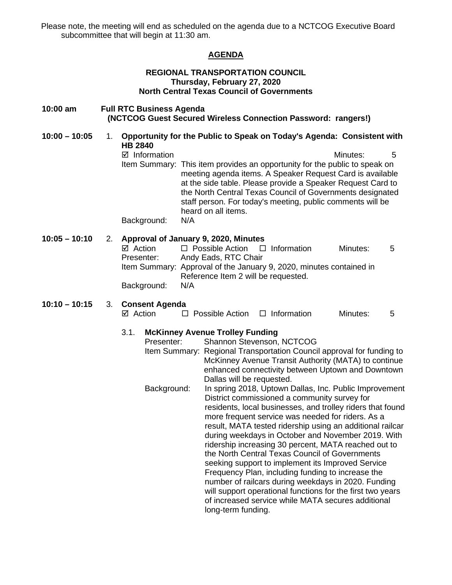Please note, the meeting will end as scheduled on the agenda due to a NCTCOG Executive Board subcommittee that will begin at 11:30 am.

## **AGENDA**

### **REGIONAL TRANSPORTATION COUNCIL Thursday, February 27, 2020 North Central Texas Council of Governments**

#### **10:00 am Full RTC Business Agenda (NCTCOG Guest Secured Wireless Connection Password: rangers!)**

**10:00 – 10:05** 1. **Opportunity for the Public to Speak on Today's Agenda: Consistent with HB 2840** 

> $\boxtimes$  Information 5 Item Summary: This item provides an opportunity for the public to speak on meeting agenda items. A Speaker Request Card is available at the side table. Please provide a Speaker Request Card to the North Central Texas Council of Governments designated staff person. For today's meeting, public comments will be heard on all items.

Background: N/A

## **10:05 – 10:10** 2. **Approval of January 9, 2020, Minutes**

| ⊠ Action    | $\Box$ Possible Action $\Box$ Information                           |  | Minutes: | .5 |  |
|-------------|---------------------------------------------------------------------|--|----------|----|--|
| Presenter:  | Andy Eads, RTC Chair                                                |  |          |    |  |
|             | Item Summary: Approval of the January 9, 2020, minutes contained in |  |          |    |  |
|             | Reference Item 2 will be requested.                                 |  |          |    |  |
| Background: | N/A                                                                 |  |          |    |  |

#### **10:10 – 10:15** 3. **Consent Agenda**   $\Box$  Possible Action  $\Box$  Information Minutes: 5

#### 3.1. **McKinney Avenue Trolley Funding**

| Presenter:  | Shannon Stevenson, NCTCOG                                             |
|-------------|-----------------------------------------------------------------------|
|             | Item Summary: Regional Transportation Council approval for funding to |
|             | McKinney Avenue Transit Authority (MATA) to continue                  |
|             | enhanced connectivity between Uptown and Downtown                     |
|             | Dallas will be requested.                                             |
| Background: | In spring 2018, Uptown Dallas, Inc. Public Improvement                |
|             | District commissioned a community survey for                          |
|             | residents, local businesses, and trolley riders that found            |
|             | more frequent service was needed for riders. As a                     |
|             | result, MATA tested ridership using an additional railcar             |
|             | during weekdays in October and November 2019. With                    |
|             | ridership increasing 30 percent, MATA reached out to                  |
|             | the North Central Texas Council of Governments                        |
|             | seeking support to implement its Improved Service                     |
|             | Frequency Plan, including funding to increase the                     |
|             | number of railcars during weekdays in 2020. Funding                   |
|             | will support operational functions for the first two years            |
|             | of increased service while MATA secures additional                    |
|             | long-term funding.                                                    |
|             |                                                                       |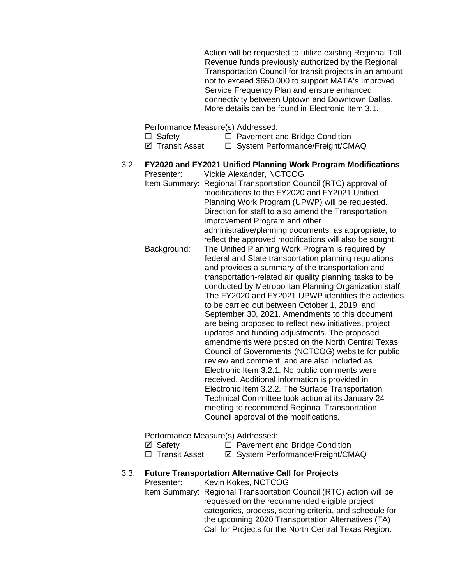Action will be requested to utilize existing Regional Toll Revenue funds previously authorized by the Regional Transportation Council for transit projects in an amount not to exceed \$650,000 to support MATA's Improved Service Frequency Plan and ensure enhanced connectivity between Uptown and Downtown Dallas. More details can be found in Electronic Item 3.1.

Performance Measure(s) Addressed:

- $\Box$  Safety  $\Box$  Pavement and Bridge Condition
- $\boxtimes$  Transit Asset  $\Box$  System Performance/Freight/CMAQ

#### 3.2. **FY2020 and FY2021 Unified Planning Work Program Modifications** Presenter: Vickie Alexander, NCTCOG

Item Summary: Regional Transportation Council (RTC) approval of modifications to the FY2020 and FY2021 Unified Planning Work Program (UPWP) will be requested. Direction for staff to also amend the Transportation Improvement Program and other administrative/planning documents, as appropriate, to reflect the approved modifications will also be sought. Background: The Unified Planning Work Program is required by federal and State transportation planning regulations and provides a summary of the transportation and transportation-related air quality planning tasks to be conducted by Metropolitan Planning Organization staff. The FY2020 and FY2021 UPWP identifies the activities to be carried out between October 1, 2019, and September 30, 2021. Amendments to this document are being proposed to reflect new initiatives, project updates and funding adjustments. The proposed amendments were posted on the North Central Texas Council of Governments (NCTCOG) website for public review and comment, and are also included as Electronic Item 3.2.1. No public comments were received. Additional information is provided in Electronic Item 3.2.2. The Surface Transportation Technical Committee took action at its January 24 meeting to recommend Regional Transportation Council approval of the modifications.

Performance Measure(s) Addressed:

- $\boxtimes$  Safety  $\Box$  Pavement and Bridge Condition
- □ Transit Asset  $\Box$  System Performance/Freight/CMAQ

## 3.3. **Future Transportation Alternative Call for Projects**

Presenter: Kevin Kokes, NCTCOG

Item Summary: Regional Transportation Council (RTC) action will be requested on the recommended eligible project categories, process, scoring criteria, and schedule for the upcoming 2020 Transportation Alternatives (TA) Call for Projects for the North Central Texas Region.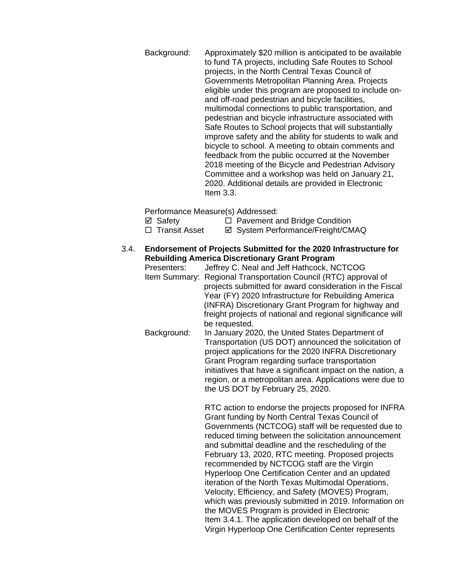Background: Approximately \$20 million is anticipated to be available to fund TA projects, including Safe Routes to School projects, in the North Central Texas Council of Governments Metropolitan Planning Area. Projects eligible under this program are proposed to include onand off-road pedestrian and bicycle facilities, multimodal connections to public transportation, and pedestrian and bicycle infrastructure associated with Safe Routes to School projects that will substantially improve safety and the ability for students to walk and bicycle to school. A meeting to obtain comments and feedback from the public occurred at the November 2018 meeting of the Bicycle and Pedestrian Advisory Committee and a workshop was held on January 21, 2020. Additional details are provided in Electronic Item 3.3.

Performance Measure(s) Addressed:

 $\boxtimes$  Safety  $\Box$  Pavement and Bridge Condition

- □ Transit Asset <br>  $\Box$  Transit Asset <br>  $\Box$  System Performance/Freight/CMAQ
- 3.4. **Endorsement of Projects Submitted for the 2020 Infrastructure for Rebuilding America Discretionary Grant Program**
	- Jeffrey C. Neal and Jeff Hathcock, NCTCOG Item Summary: Regional Transportation Council (RTC) approval of projects submitted for award consideration in the Fiscal Year (FY) 2020 Infrastructure for Rebuilding America (INFRA) Discretionary Grant Program for highway and freight projects of national and regional significance will be requested.
	- Background: In January 2020, the United States Department of Transportation (US DOT) announced the solicitation of project applications for the 2020 INFRA Discretionary Grant Program regarding surface transportation initiatives that have a significant impact on the nation, a region, or a metropolitan area. Applications were due to the US DOT by February 25, 2020.

RTC action to endorse the projects proposed for INFRA Grant funding by North Central Texas Council of Governments (NCTCOG) staff will be requested due to reduced timing between the solicitation announcement and submittal deadline and the rescheduling of the February 13, 2020, RTC meeting. Proposed projects recommended by NCTCOG staff are the Virgin Hyperloop One Certification Center and an updated iteration of the North Texas Multimodal Operations, Velocity, Efficiency, and Safety (MOVES) Program, which was previously submitted in 2019. Information on the MOVES Program is provided in Electronic Item 3.4.1. The application developed on behalf of the Virgin Hyperloop One Certification Center represents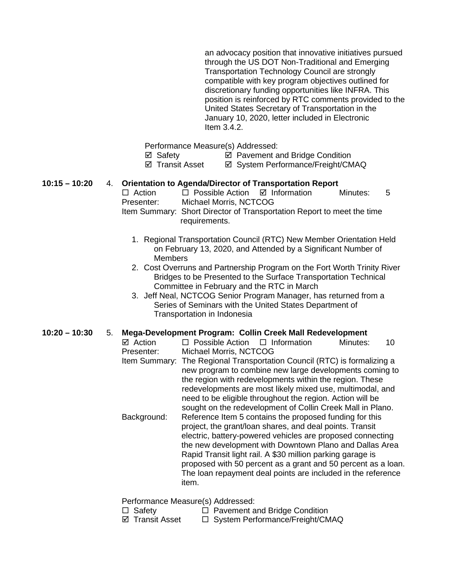an advocacy position that innovative initiatives pursued through the US DOT Non-Traditional and Emerging Transportation Technology Council are strongly compatible with key program objectives outlined for discretionary funding opportunities like INFRA. This position is reinforced by RTC comments provided to the United States Secretary of Transportation in the January 10, 2020, letter included in Electronic Item 3.4.2.

Performance Measure(s) Addressed:

**Ø** Safety **Ø** Pavement and Bridge Condition

 $\boxtimes$  **Transit Asset**  $\boxtimes$  System Performance/Freight/CMAQ

## **10:15 – 10:20** 4. **Orientation to Agenda/Director of Transportation Report**

 $\Box$  Possible Action  $\Box$  Information Minutes: 5 Presenter: Michael Morris, NCTCOG Item Summary: Short Director of Transportation Report to meet the time requirements.

- 1. Regional Transportation Council (RTC) New Member Orientation Held on February 13, 2020, and Attended by a Significant Number of **Members**
- 2. Cost Overruns and Partnership Program on the Fort Worth Trinity River Bridges to be Presented to the Surface Transportation Technical Committee in February and the RTC in March
- 3. Jeff Neal, NCTCOG Senior Program Manager, has returned from a Series of Seminars with the United States Department of Transportation in Indonesia

## **10:20 – 10:30** 5. **Mega-Development Program: Collin Creek Mall Redevelopment**

 $\boxtimes$  Action  $\Box$  Possible Action  $\Box$  Information Minutes: 10 Presenter: Michael Morris, NCTCOG

Item Summary: The Regional Transportation Council (RTC) is formalizing a new program to combine new large developments coming to the region with redevelopments within the region. These redevelopments are most likely mixed use, multimodal, and need to be eligible throughout the region. Action will be sought on the redevelopment of Collin Creek Mall in Plano. Background: Reference Item 5 contains the proposed funding for this project, the grant/loan shares, and deal points. Transit electric, battery-powered vehicles are proposed connecting the new development with Downtown Plano and Dallas Area

Rapid Transit light rail. A \$30 million parking garage is proposed with 50 percent as a grant and 50 percent as a loan. The loan repayment deal points are included in the reference item.

Performance Measure(s) Addressed:

Safety Pavement and Bridge Condition

□ System Performance/Freight/CMAQ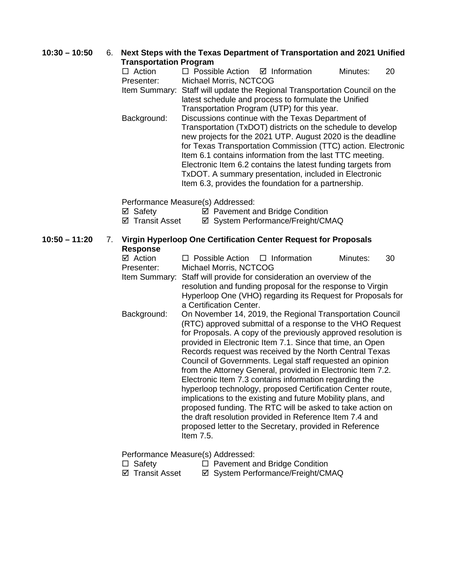## **10:30 – 10:50** 6. **Next Steps with the Texas Department of Transportation and 2021 Unified Transportation Program**

|    | $\Box$ Action                     | $\Box$ Possible Action $\Box$ Information                                                                             |                                                                | Minutes: | 20 |  |
|----|-----------------------------------|-----------------------------------------------------------------------------------------------------------------------|----------------------------------------------------------------|----------|----|--|
|    | Presenter:                        | Michael Morris, NCTCOG                                                                                                |                                                                |          |    |  |
|    | Item Summary:                     | Staff will update the Regional Transportation Council on the<br>latest schedule and process to formulate the Unified  |                                                                |          |    |  |
|    |                                   |                                                                                                                       | Transportation Program (UTP) for this year.                    |          |    |  |
|    | Background:                       |                                                                                                                       | Discussions continue with the Texas Department of              |          |    |  |
|    |                                   | Transportation (TxDOT) districts on the schedule to develop                                                           |                                                                |          |    |  |
|    |                                   |                                                                                                                       | new projects for the 2021 UTP. August 2020 is the deadline     |          |    |  |
|    |                                   |                                                                                                                       | for Texas Transportation Commission (TTC) action. Electronic   |          |    |  |
|    |                                   |                                                                                                                       | Item 6.1 contains information from the last TTC meeting.       |          |    |  |
|    |                                   | Electronic Item 6.2 contains the latest funding targets from<br>TxDOT. A summary presentation, included in Electronic |                                                                |          |    |  |
|    |                                   |                                                                                                                       | Item 6.3, provides the foundation for a partnership.           |          |    |  |
|    |                                   |                                                                                                                       |                                                                |          |    |  |
|    |                                   | Performance Measure(s) Addressed:                                                                                     |                                                                |          |    |  |
|    | ⊠ Safety                          |                                                                                                                       | ☑ Pavement and Bridge Condition                                |          |    |  |
|    | ☑ Transit Asset                   |                                                                                                                       | ☑ System Performance/Freight/CMAQ                              |          |    |  |
| 7. |                                   | Virgin Hyperloop One Certification Center Request for Proposals                                                       |                                                                |          |    |  |
|    | <b>Response</b>                   |                                                                                                                       |                                                                |          |    |  |
|    | ⊠ Action                          | $\Box$ Possible Action                                                                                                | $\Box$ Information                                             | Minutes: | 30 |  |
|    | Presenter:                        | Michael Morris, NCTCOG                                                                                                |                                                                |          |    |  |
|    | Item Summary:                     |                                                                                                                       | Staff will provide for consideration an overview of the        |          |    |  |
|    |                                   |                                                                                                                       | resolution and funding proposal for the response to Virgin     |          |    |  |
|    |                                   | a Certification Center.                                                                                               | Hyperloop One (VHO) regarding its Request for Proposals for    |          |    |  |
|    | Background:                       |                                                                                                                       | On November 14, 2019, the Regional Transportation Council      |          |    |  |
|    |                                   |                                                                                                                       | (RTC) approved submittal of a response to the VHO Request      |          |    |  |
|    |                                   |                                                                                                                       | for Proposals. A copy of the previously approved resolution is |          |    |  |
|    |                                   |                                                                                                                       | provided in Electronic Item 7.1. Since that time, an Open      |          |    |  |
|    |                                   | Records request was received by the North Central Texas                                                               |                                                                |          |    |  |
|    |                                   | Council of Governments. Legal staff requested an opinion                                                              |                                                                |          |    |  |
|    |                                   | from the Attorney General, provided in Electronic Item 7.2.<br>Electronic Item 7.3 contains information regarding the |                                                                |          |    |  |
|    |                                   | hyperloop technology, proposed Certification Center route,                                                            |                                                                |          |    |  |
|    |                                   | implications to the existing and future Mobility plans, and                                                           |                                                                |          |    |  |
|    |                                   | proposed funding. The RTC will be asked to take action on                                                             |                                                                |          |    |  |
|    |                                   | the draft resolution provided in Reference Item 7.4 and                                                               |                                                                |          |    |  |
|    |                                   | Item 7.5.                                                                                                             | proposed letter to the Secretary, provided in Reference        |          |    |  |
|    |                                   |                                                                                                                       |                                                                |          |    |  |
|    | Performance Measure(s) Addressed: |                                                                                                                       |                                                                |          |    |  |

**10:50 – 11:20** 

- □ Safety □ Pavement and Bridge Condition
- Transit Asset System Performance/Freight/CMAQ